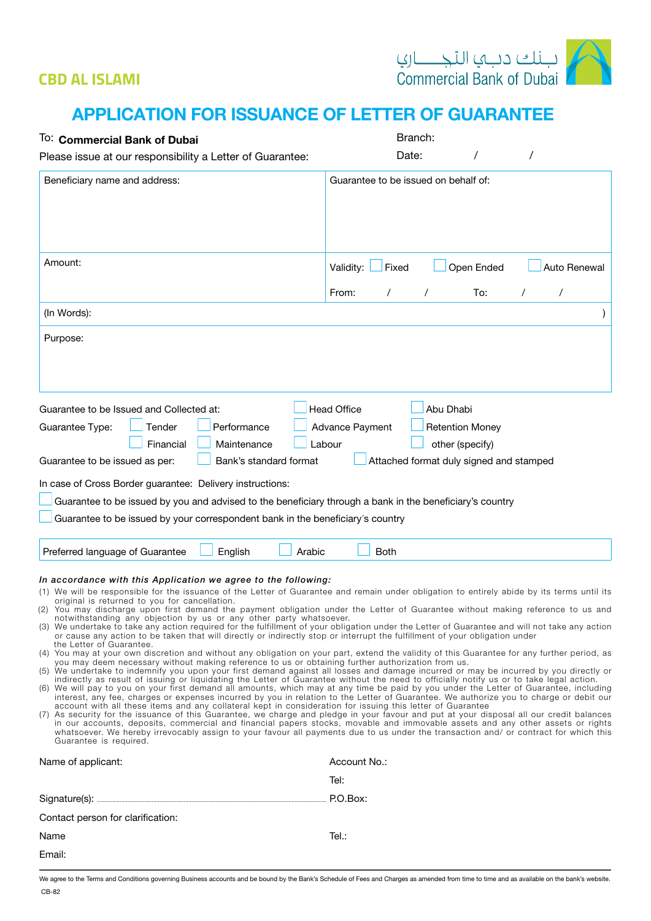## **CBD AL ISLAMI**



## **APPLICATION FOR ISSUANCE OF LETTER OF GUARANTEE**

| To: Commercial Bank of Dubai                                                                                                                                                                                                                                                                                                                                                                                                                                                                                                                                                                  | Branch:                                                                                                                                                                                                                                                                                                                                                                                                                                                                                                                                                                                                                                                                                                                                                                                                                                                                                                                                                                                                                                                                                                                                                                                                                                                                                                                                                                                                                                                                                                                                                                        |
|-----------------------------------------------------------------------------------------------------------------------------------------------------------------------------------------------------------------------------------------------------------------------------------------------------------------------------------------------------------------------------------------------------------------------------------------------------------------------------------------------------------------------------------------------------------------------------------------------|--------------------------------------------------------------------------------------------------------------------------------------------------------------------------------------------------------------------------------------------------------------------------------------------------------------------------------------------------------------------------------------------------------------------------------------------------------------------------------------------------------------------------------------------------------------------------------------------------------------------------------------------------------------------------------------------------------------------------------------------------------------------------------------------------------------------------------------------------------------------------------------------------------------------------------------------------------------------------------------------------------------------------------------------------------------------------------------------------------------------------------------------------------------------------------------------------------------------------------------------------------------------------------------------------------------------------------------------------------------------------------------------------------------------------------------------------------------------------------------------------------------------------------------------------------------------------------|
| Please issue at our responsibility a Letter of Guarantee:                                                                                                                                                                                                                                                                                                                                                                                                                                                                                                                                     | Date:                                                                                                                                                                                                                                                                                                                                                                                                                                                                                                                                                                                                                                                                                                                                                                                                                                                                                                                                                                                                                                                                                                                                                                                                                                                                                                                                                                                                                                                                                                                                                                          |
| Beneficiary name and address:                                                                                                                                                                                                                                                                                                                                                                                                                                                                                                                                                                 | Guarantee to be issued on behalf of:                                                                                                                                                                                                                                                                                                                                                                                                                                                                                                                                                                                                                                                                                                                                                                                                                                                                                                                                                                                                                                                                                                                                                                                                                                                                                                                                                                                                                                                                                                                                           |
| Amount:                                                                                                                                                                                                                                                                                                                                                                                                                                                                                                                                                                                       | Auto Renewal<br>Validity:<br>Fixed<br>Open Ended<br>From:<br>$\prime$<br>To:<br>7<br>$\prime$                                                                                                                                                                                                                                                                                                                                                                                                                                                                                                                                                                                                                                                                                                                                                                                                                                                                                                                                                                                                                                                                                                                                                                                                                                                                                                                                                                                                                                                                                  |
| (In Words):                                                                                                                                                                                                                                                                                                                                                                                                                                                                                                                                                                                   |                                                                                                                                                                                                                                                                                                                                                                                                                                                                                                                                                                                                                                                                                                                                                                                                                                                                                                                                                                                                                                                                                                                                                                                                                                                                                                                                                                                                                                                                                                                                                                                |
| Purpose:                                                                                                                                                                                                                                                                                                                                                                                                                                                                                                                                                                                      |                                                                                                                                                                                                                                                                                                                                                                                                                                                                                                                                                                                                                                                                                                                                                                                                                                                                                                                                                                                                                                                                                                                                                                                                                                                                                                                                                                                                                                                                                                                                                                                |
| Guarantee to be Issued and Collected at:<br>Tender<br>Performance<br>Guarantee Type:<br>Financial<br>Maintenance<br>Bank's standard format<br>Guarantee to be issued as per:<br>In case of Cross Border guarantee: Delivery instructions:<br>Guarantee to be issued by you and advised to the beneficiary through a bank in the beneficiary's country<br>Guarantee to be issued by your correspondent bank in the beneficiary's country                                                                                                                                                       | <b>Head Office</b><br>Abu Dhabi<br>Advance Payment<br><b>Retention Money</b><br>Labour<br>other (specify)<br>Attached format duly signed and stamped                                                                                                                                                                                                                                                                                                                                                                                                                                                                                                                                                                                                                                                                                                                                                                                                                                                                                                                                                                                                                                                                                                                                                                                                                                                                                                                                                                                                                           |
| Preferred language of Guarantee<br>English<br>Arabic                                                                                                                                                                                                                                                                                                                                                                                                                                                                                                                                          | <b>Both</b>                                                                                                                                                                                                                                                                                                                                                                                                                                                                                                                                                                                                                                                                                                                                                                                                                                                                                                                                                                                                                                                                                                                                                                                                                                                                                                                                                                                                                                                                                                                                                                    |
| In accordance with this Application we agree to the following:<br>original is returned to you for cancellation.<br>notwithstanding any objection by us or any other party whatsoever.<br>or cause any action to be taken that will directly or indirectly stop or interrupt the fulfillment of your obligation under<br>the Letter of Guarantee.<br>you may deem necessary without making reference to us or obtaining further authorization from us.<br>account with all these items and any collateral kept in consideration for issuing this letter of Guarantee<br>Guarantee is required. | (1) We will be responsible for the issuance of the Letter of Guarantee and remain under obligation to entirely abide by its terms until its<br>(2) You may discharge upon first demand the payment obligation under the Letter of Guarantee without making reference to us and<br>(3) We undertake to take any action required for the fulfillment of your obligation under the Letter of Guarantee and will not take any action<br>(4) You may at your own discretion and without any obligation on your part, extend the validity of this Guarantee for any further period, as<br>(5) We undertake to indemnify you upon your first demand against all losses and damage incurred or may be incurred by you directly or<br>indirectly as result of issuing or liquidating the Letter of Guarantee without the need to officially notify us or to take legal action.<br>(6) We will pay to you on your first demand all amounts, which may at any time be paid by you under the Letter of Guarantee, including<br>interest, any fee, charges or expenses incurred by you in relation to the Letter of Guarantee. We authorize you to charge or debit our<br>(7) As security for the issuance of this Guarantee, we charge and pledge in your favour and put at your disposal all our credit balances<br>in our accounts, deposits, commercial and financial papers stocks, movable and immovable assets and any other assets or rights<br>whatsoever. We hereby irrevocably assign to your favour all payments due to us under the transaction and/or contract for which this |
| Name of applicant:                                                                                                                                                                                                                                                                                                                                                                                                                                                                                                                                                                            | Account No.:                                                                                                                                                                                                                                                                                                                                                                                                                                                                                                                                                                                                                                                                                                                                                                                                                                                                                                                                                                                                                                                                                                                                                                                                                                                                                                                                                                                                                                                                                                                                                                   |
|                                                                                                                                                                                                                                                                                                                                                                                                                                                                                                                                                                                               | Tel:                                                                                                                                                                                                                                                                                                                                                                                                                                                                                                                                                                                                                                                                                                                                                                                                                                                                                                                                                                                                                                                                                                                                                                                                                                                                                                                                                                                                                                                                                                                                                                           |
|                                                                                                                                                                                                                                                                                                                                                                                                                                                                                                                                                                                               | P.O.Box:                                                                                                                                                                                                                                                                                                                                                                                                                                                                                                                                                                                                                                                                                                                                                                                                                                                                                                                                                                                                                                                                                                                                                                                                                                                                                                                                                                                                                                                                                                                                                                       |

| Contact person for clarification: |       |
|-----------------------------------|-------|
| Name                              | Tel.: |

| $\sim$<br>× | ×<br>۰. |  |
|-------------|---------|--|
|             |         |  |
|             |         |  |

Email:

We agree to the Terms and Conditions governing Business accounts and be bound by the Bank's Schedule of Fees and Charges as amended from time to time and as available on the bank's website. CB-82